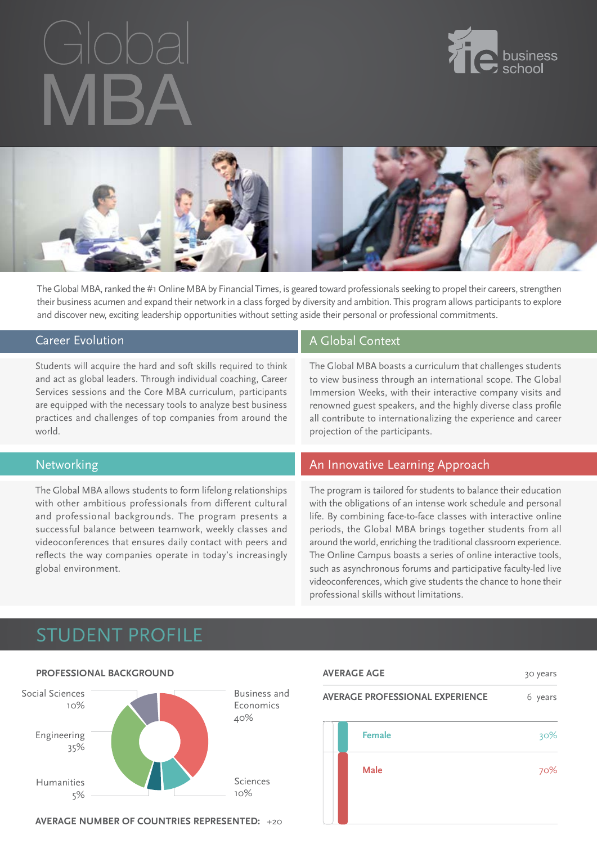



The Global MBA, ranked the #1 Online MBA by Financial Times, is geared toward professionals seeking to propel their careers, strengthen their business acumen and expand their network in a class forged by diversity and ambition. This program allows participants to explore and discover new, exciting leadership opportunities without setting aside their personal or professional commitments.

#### Career Evolution

Students will acquire the hard and soft skills required to think and act as global leaders. Through individual coaching, Career Services sessions and the Core MBA curriculum, participants are equipped with the necessary tools to analyze best business practices and challenges of top companies from around the world.

### Networking

The Global MBA allows students to form lifelong relationships with other ambitious professionals from different cultural and professional backgrounds. The program presents a successful balance between teamwork, weekly classes and videoconferences that ensures daily contact with peers and reflects the way companies operate in today's increasingly global environment.

### A Global Context

The Global MBA boasts a curriculum that challenges students to view business through an international scope. The Global Immersion Weeks, with their interactive company visits and renowned guest speakers, and the highly diverse class profile all contribute to internationalizing the experience and career projection of the participants.

### An Innovative Learning Approach

The program is tailored for students to balance their education with the obligations of an intense work schedule and personal life. By combining face-to-face classes with interactive online periods, the Global MBA brings together students from all around the world, enriching the traditional classroom experience. The Online Campus boasts a series of online interactive tools, such as asynchronous forums and participative faculty-led live videoconferences, which give students the chance to hone their professional skills without limitations.

## Student ProfilE



**Average number of countries represented:** +20